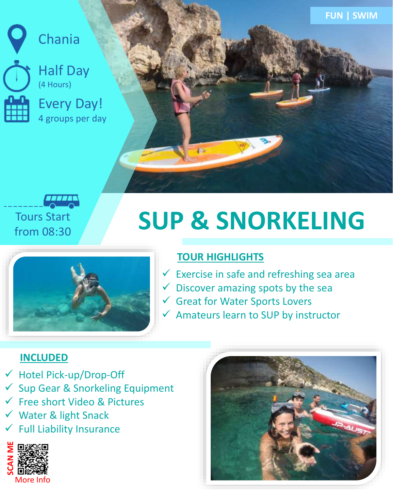

Chania



Every Day! 4 groups per day



**FUN | SWIM**



# **SUP & SNORKELING**



## **TOUR HIGHLIGHTS**

- $\checkmark$  Exercise in safe and refreshing sea area
- $\checkmark$  Discover amazing spots by the sea
- ✓ Great for Water Sports Lovers
- $\checkmark$  Amateurs learn to SUP by instructor

## **INCLUDED**

- Hotel Pick-up/Drop-Off
- Sup Gear & Snorkeling Equipment
- Free short Video & Pictures
- Water & light Snack
- **Full Liability Insurance**